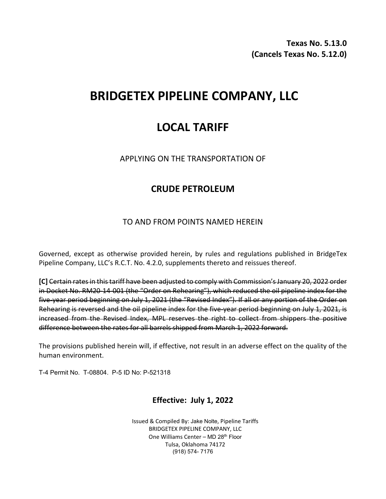**Texas No. 5.13.0 (Cancels Texas No. 5.12.0)**

# **BRIDGETEX PIPELINE COMPANY, LLC**

## **LOCAL TARIFF**

APPLYING ON THE TRANSPORTATION OF

## **CRUDE PETROLEUM**

#### TO AND FROM POINTS NAMED HEREIN

Governed, except as otherwise provided herein, by rules and regulations published in BridgeTex Pipeline Company, LLC's R.C.T. No. 4.2.0, supplements thereto and reissues thereof.

**[C]** Certain rates in this tariff have been adjusted to comply with Commission's January 20, 2022 order in Docket No. RM20-14-001 (the "Order on Rehearing"), which reduced the oil pipeline index for the five-year period beginning on July 1, 2021 (the "Revised Index"). If all or any portion of the Order on Rehearing is reversed and the oil pipeline index for the five-year period beginning on July 1, 2021, is increased from the Revised Index, MPL reserves the right to collect from shippers the positive difference between the rates for all barrels shipped from March 1, 2022 forward.

The provisions published herein will, if effective, not result in an adverse effect on the quality of the human environment.

T-4 Permit No. T-08804. P-5 ID No: P-521318

### **Effective: July 1, 2022**

Issued & Compiled By: Jake Nolte, Pipeline Tariffs BRIDGETEX PIPELINE COMPANY, LLC One Williams Center - MD 28<sup>th</sup> Floor Tulsa, Oklahoma 74172 (918) 574- 7176